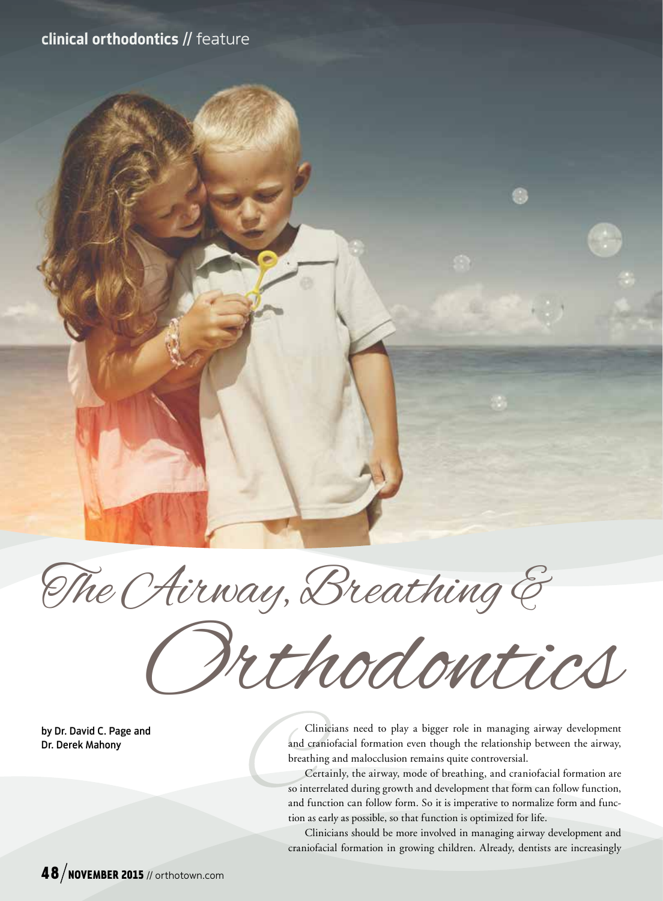# clinical orthodontics // feature



Orthodontics

by Dr. David C. Page and Dr. Derek Mahony

Clinicians need to play a bigger role in managing airway development and craniofacial formation even though the relationship between the airway, breathing and malocclusion remains quite controversial.

Certainly, the airway, mode of breathing, and craniofacial formation are so interrelated during growth and development that form can follow function, and function can follow form. So it is imperative to normalize form and function as early as possible, so that function is optimized for life.

Clinicians should be more involved in managing airway development and craniofacial formation in growing children. Already, dentists are increasingly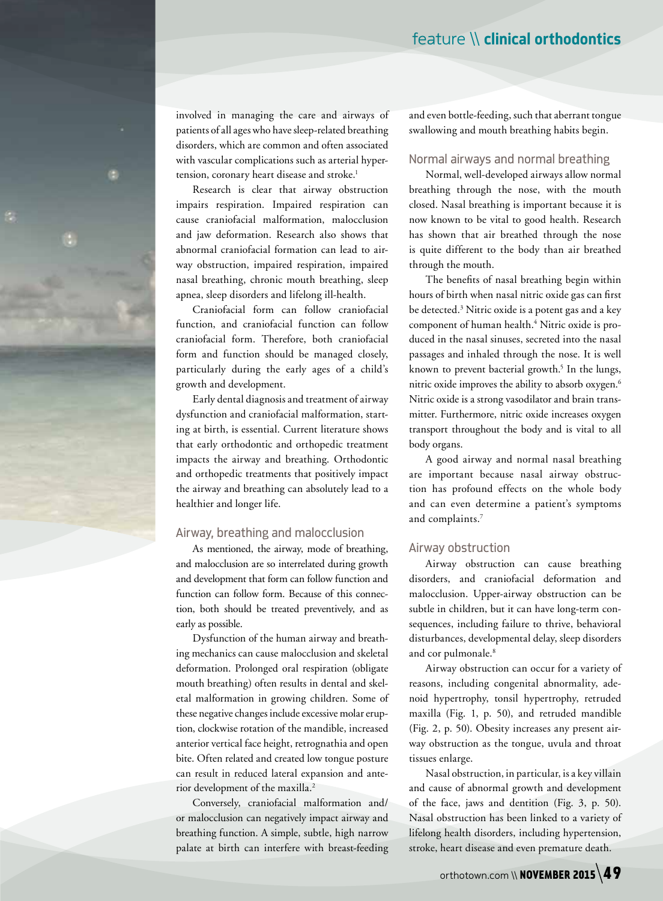involved in managing the care and airways of patients of all ages who have sleep-related breathing disorders, which are common and often associated with vascular complications such as arterial hypertension, coronary heart disease and stroke.<sup>1</sup>

Research is clear that airway obstruction impairs respiration. Impaired respiration can cause craniofacial malformation, malocclusion and jaw deformation. Research also shows that abnormal craniofacial formation can lead to airway obstruction, impaired respiration, impaired nasal breathing, chronic mouth breathing, sleep apnea, sleep disorders and lifelong ill-health.

Craniofacial form can follow craniofacial function, and craniofacial function can follow craniofacial form. Therefore, both craniofacial form and function should be managed closely, particularly during the early ages of a child's growth and development.

Early dental diagnosis and treatment of airway dysfunction and craniofacial malformation, starting at birth, is essential. Current literature shows that early orthodontic and orthopedic treatment impacts the airway and breathing. Orthodontic and orthopedic treatments that positively impact the airway and breathing can absolutely lead to a healthier and longer life.

#### Airway, breathing and malocclusion

As mentioned, the airway, mode of breathing, and malocclusion are so interrelated during growth and development that form can follow function and function can follow form. Because of this connection, both should be treated preventively, and as early as possible.

Dysfunction of the human airway and breathing mechanics can cause malocclusion and skeletal deformation. Prolonged oral respiration (obligate mouth breathing) often results in dental and skeletal malformation in growing children. Some of these negative changes include excessive molar eruption, clockwise rotation of the mandible, increased anterior vertical face height, retrognathia and open bite. Often related and created low tongue posture can result in reduced lateral expansion and anterior development of the maxilla.2

Conversely, craniofacial malformation and/ or malocclusion can negatively impact airway and breathing function. A simple, subtle, high narrow palate at birth can interfere with breast-feeding and even bottle-feeding, such that aberrant tongue swallowing and mouth breathing habits begin.

#### Normal airways and normal breathing

Normal, well-developed airways allow normal breathing through the nose, with the mouth closed. Nasal breathing is important because it is now known to be vital to good health. Research has shown that air breathed through the nose is quite different to the body than air breathed through the mouth.

The benefits of nasal breathing begin within hours of birth when nasal nitric oxide gas can first be detected.3 Nitric oxide is a potent gas and a key component of human health.4 Nitric oxide is produced in the nasal sinuses, secreted into the nasal passages and inhaled through the nose. It is well known to prevent bacterial growth.<sup>5</sup> In the lungs, nitric oxide improves the ability to absorb oxygen.6 Nitric oxide is a strong vasodilator and brain transmitter. Furthermore, nitric oxide increases oxygen transport throughout the body and is vital to all body organs.

A good airway and normal nasal breathing are important because nasal airway obstruction has profound effects on the whole body and can even determine a patient's symptoms and complaints.7

#### Airway obstruction

Airway obstruction can cause breathing disorders, and craniofacial deformation and malocclusion. Upper-airway obstruction can be subtle in children, but it can have long-term consequences, including failure to thrive, behavioral disturbances, developmental delay, sleep disorders and cor pulmonale.<sup>8</sup>

Airway obstruction can occur for a variety of reasons, including congenital abnormality, adenoid hypertrophy, tonsil hypertrophy, retruded maxilla (Fig. 1, p. 50), and retruded mandible (Fig. 2, p. 50). Obesity increases any present airway obstruction as the tongue, uvula and throat tissues enlarge.

Nasal obstruction, in particular, is a key villain and cause of abnormal growth and development of the face, jaws and dentition (Fig. 3, p. 50). Nasal obstruction has been linked to a variety of lifelong health disorders, including hypertension, stroke, heart disease and even premature death.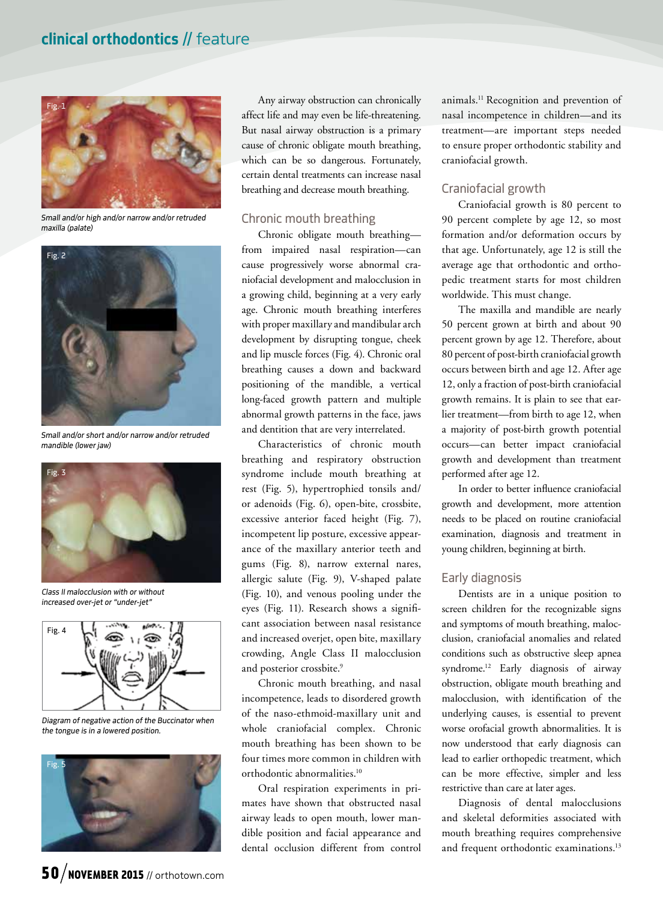

*Small and/or high and/or narrow and/or retruded maxilla (palate)*



*Small and/or short and/or narrow and/or retruded mandible (lower jaw)*



*Class II malocclusion with or without increased over-jet or "under-jet"*



*Diagram of negative action of the Buccinator when the tongue is in a lowered position.*



Any airway obstruction can chronically affect life and may even be life-threatening. But nasal airway obstruction is a primary cause of chronic obligate mouth breathing, which can be so dangerous. Fortunately, certain dental treatments can increase nasal breathing and decrease mouth breathing.

### Chronic mouth breathing

Chronic obligate mouth breathing from impaired nasal respiration—can cause progressively worse abnormal craniofacial development and malocclusion in a growing child, beginning at a very early age. Chronic mouth breathing interferes with proper maxillary and mandibular arch development by disrupting tongue, cheek and lip muscle forces (Fig. 4). Chronic oral breathing causes a down and backward positioning of the mandible, a vertical long-faced growth pattern and multiple abnormal growth patterns in the face, jaws and dentition that are very interrelated.

Characteristics of chronic mouth breathing and respiratory obstruction syndrome include mouth breathing at rest (Fig. 5), hypertrophied tonsils and/ or adenoids (Fig. 6), open-bite, crossbite, excessive anterior faced height (Fig. 7), incompetent lip posture, excessive appearance of the maxillary anterior teeth and gums (Fig. 8), narrow external nares, allergic salute (Fig. 9), V-shaped palate (Fig. 10), and venous pooling under the eyes (Fig. 11). Research shows a significant association between nasal resistance and increased overjet, open bite, maxillary crowding, Angle Class II malocclusion and posterior crossbite.<sup>9</sup>

Chronic mouth breathing, and nasal incompetence, leads to disordered growth of the naso-ethmoid-maxillary unit and whole craniofacial complex. Chronic mouth breathing has been shown to be four times more common in children with orthodontic abnormalities.10

Oral respiration experiments in primates have shown that obstructed nasal airway leads to open mouth, lower mandible position and facial appearance and dental occlusion different from control animals.11 Recognition and prevention of nasal incompetence in children—and its treatment—are important steps needed to ensure proper orthodontic stability and craniofacial growth.

## Craniofacial growth

Craniofacial growth is 80 percent to 90 percent complete by age 12, so most formation and/or deformation occurs by that age. Unfortunately, age 12 is still the average age that orthodontic and orthopedic treatment starts for most children worldwide. This must change.

The maxilla and mandible are nearly 50 percent grown at birth and about 90 percent grown by age 12. Therefore, about 80 percent of post-birth craniofacial growth occurs between birth and age 12. After age 12, only a fraction of post-birth craniofacial growth remains. It is plain to see that earlier treatment—from birth to age 12, when a majority of post-birth growth potential occurs—can better impact craniofacial growth and development than treatment performed after age 12.

In order to better influence craniofacial growth and development, more attention needs to be placed on routine craniofacial examination, diagnosis and treatment in young children, beginning at birth.

## Early diagnosis

Dentists are in a unique position to screen children for the recognizable signs and symptoms of mouth breathing, malocclusion, craniofacial anomalies and related conditions such as obstructive sleep apnea syndrome.12 Early diagnosis of airway obstruction, obligate mouth breathing and malocclusion, with identification of the underlying causes, is essential to prevent worse orofacial growth abnormalities. It is now understood that early diagnosis can lead to earlier orthopedic treatment, which can be more effective, simpler and less restrictive than care at later ages.

Diagnosis of dental malocclusions and skeletal deformities associated with mouth breathing requires comprehensive and frequent orthodontic examinations.<sup>13</sup>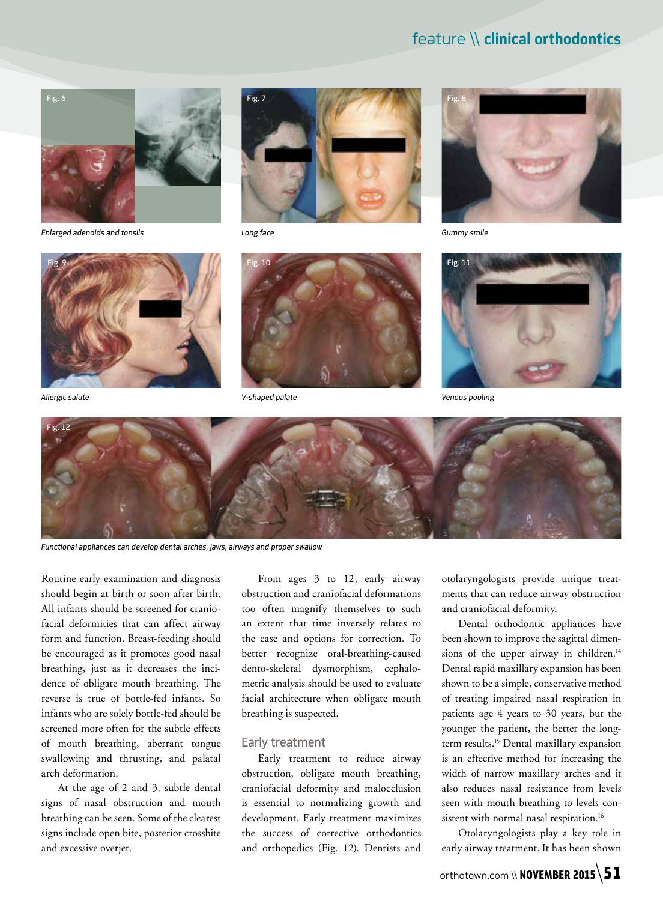# feature \\ clinical orthodontics



*Enlarged adenoids and tonsils*





*Long face Gummy smile*









*Functional appliances can develop dental arches, jaws, airways and proper swallow*

Routine early examination and diagnosis should begin at birth or soon after birth. All infants should be screened for craniofacial deformities that can affect airway form and function. Breast-feeding should be encouraged as it promotes good nasal breathing, just as it decreases the incidence of obligate mouth breathing. The reverse is true of bottle-fed infants. So infants who are solely bottle-fed should be screened more often for the subtle effects of mouth breathing, aberrant tongue swallowing and thrusting, and palatal arch deformation.

At the age of 2 and 3, subtle dental signs of nasal obstruction and mouth breathing can be seen. Some of the clearest signs include open bite, posterior crossbite and excessive overjet.

From ages 3 to 12, early airway obstruction and craniofacial deformations too often magnify themselves to such an extent that time inversely relates to the ease and options for correction. To better recognize oral-breathing-caused dento-skeletal dysmorphism, cephalometric analysis should be used to evaluate facial architecture when obligate mouth breathing is suspected.

#### Early treatment

Early treatment to reduce airway obstruction, obligate mouth breathing, craniofacial deformity and malocclusion is essential to normalizing growth and development. Early treatment maximizes the success of corrective orthodontics and orthopedics (Fig. 12). Dentists and

otolaryngologists provide unique treatments that can reduce airway obstruction and craniofacial deformity.

Dental orthodontic appliances have been shown to improve the sagittal dimensions of the upper airway in children.<sup>14</sup> Dental rapid maxillary expansion has been shown to be a simple, conservative method of treating impaired nasal respiration in patients age 4 years to 30 years, but the younger the patient, the better the longterm results.<sup>15</sup> Dental maxillary expansion is an effective method for increasing the width of narrow maxillary arches and it also reduces nasal resistance from levels seen with mouth breathing to levels consistent with normal nasal respiration.<sup>16</sup>

Otolaryngologists play a key role in early airway treatment. It has been shown